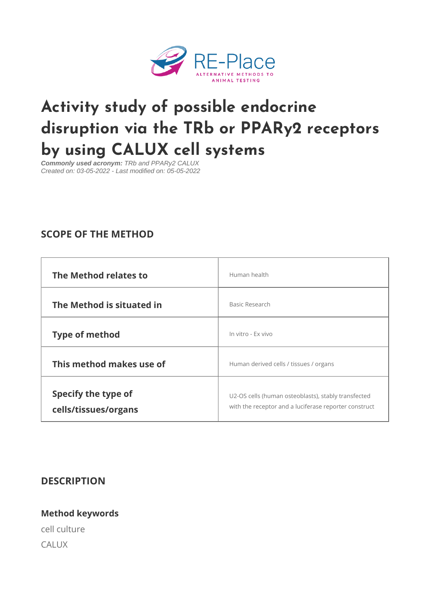# [Activity study of possible end](https://www.re-place.be/method/activity-study-possible-endocrine-disruption-trb-or-ppary2-receptors-using-calux-cell)ocri disruption via the TRb or PPARy2 by using CALUX cell systems

Commonly used acronym: TRb and PPARy2 CALUX Created on: 03-05-2022 - Last modified on: 05-05-2022

# SCOPE OF THE METHOD

| The Method relates to                       | Human health                                                                                        |  |
|---------------------------------------------|-----------------------------------------------------------------------------------------------------|--|
| The Method is situated in                   | Basic Research                                                                                      |  |
| Type of method                              | In vitro - Ex vivo                                                                                  |  |
| This method makes use of                    | Human derived cells / tissues / organs                                                              |  |
| Specify the type of<br>cells/tissues/organs | U2-OS cells (human osteoblasts), stably transfe<br>with the receptor and a luciferase reporter con: |  |

#### DESCRIPTION

Method keywords cell culture CALUX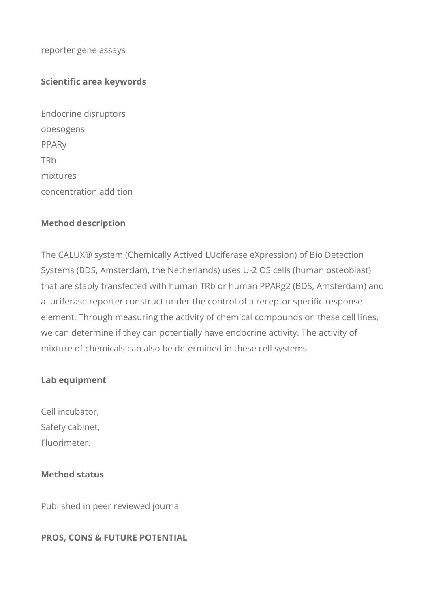reporter gene assays

#### **Scientific area keywords**

Endocrine disruptors obesogens PPARy **TR<sub>b</sub>** mixtures concentration addition

#### **Method description**

The CALUX® system (Chemically Actived LUciferase eXpression) of Bio Detection Systems (BDS, Amsterdam, the Netherlands) uses U-2 OS cells (human osteoblast) that are stably transfected with human TRb or human PPARg2 (BDS, Amsterdam) and a luciferase reporter construct under the control of a receptor specific response element. Through measuring the activity of chemical compounds on these cell lines, we can determine if they can potentially have endocrine activity. The activity of mixture of chemicals can also be determined in these cell systems.

#### **Lab equipment**

Cell incubator, Safety cabinet, Fluorimeter.

# **Method status**

Published in peer reviewed journal

#### **PROS, CONS & FUTURE POTENTIAL**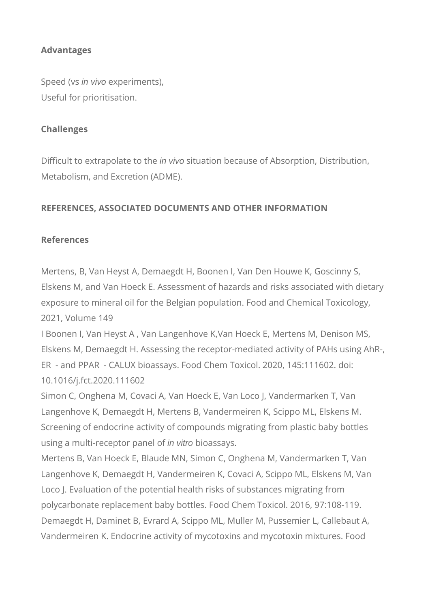# **Advantages**

Speed (vs in vivo experiments), Useful for prioritisation.

## **Challenges**

Difficult to extrapolate to the in vivo situation because of Absorption, Distribution, Metabolism, and Excretion (ADME).

# **REFERENCES, ASSOCIATED DOCUMENTS AND OTHER INFORMATION**

### **References**

Mertens, B, Van Heyst A, Demaegdt H, Boonen I, Van Den Houwe K, Goscinny S, Elskens M, and Van Hoeck E. Assessment of hazards and risks associated with dietary exposure to mineral oil for the Belgian population. Food and Chemical Toxicology, 2021, Volume 149

I Boonen I, Van Heyst A , Van Langenhove K,Van Hoeck E, Mertens M, Denison MS, Elskens M, Demaegdt H. Assessing the receptor-mediated activity of PAHs using AhR-, ER - and PPAR - CALUX bioassays. Food Chem Toxicol. 2020, 145:111602. doi: 10.1016/j.fct.2020.111602

Simon C, Onghena M, Covaci A, Van Hoeck E, Van Loco J, Vandermarken T, Van Langenhove K, Demaegdt H, Mertens B, Vandermeiren K, Scippo ML, Elskens M. Screening of endocrine activity of compounds migrating from plastic baby bottles using a multi-receptor panel of in vitro bioassays.

Mertens B, Van Hoeck E, Blaude MN, Simon C, Onghena M, Vandermarken T, Van Langenhove K, Demaegdt H, Vandermeiren K, Covaci A, Scippo ML, Elskens M, Van Loco J. Evaluation of the potential health risks of substances migrating from polycarbonate replacement baby bottles. Food Chem Toxicol. 2016, 97:108-119. Demaegdt H, Daminet B, Evrard A, Scippo ML, Muller M, Pussemier L, Callebaut A, Vandermeiren K. Endocrine activity of mycotoxins and mycotoxin mixtures. Food